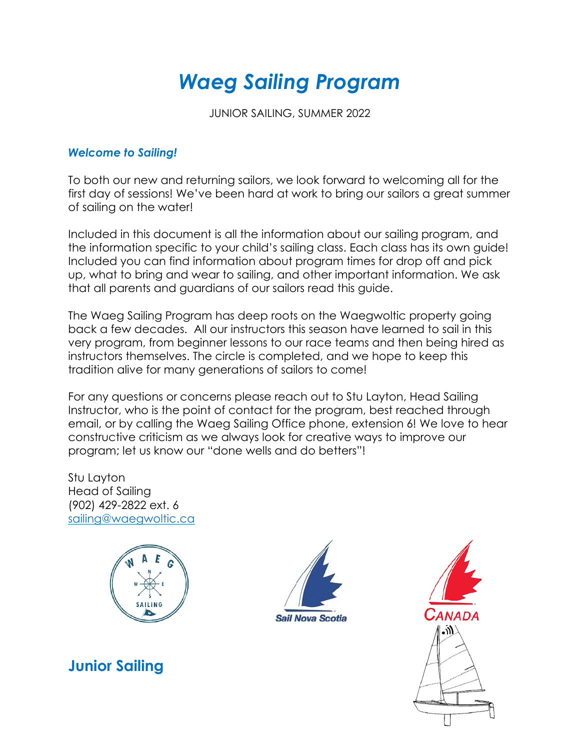# *Waeg Sailing Program*

JUNIOR SAILING, SUMMER 2022

#### *Welcome to Sailing!*

To both our new and returning sailors, we look forward to welcoming all for the first day of sessions! We've been hard at work to bring our sailors a great summer of sailing on the water!

Included in this document is all the information about our sailing program, and the information specific to your child's sailing class. Each class has its own guide! Included you can find information about program times for drop off and pick up, what to bring and wear to sailing, and other important information. We ask that all parents and guardians of our sailors read this guide.

The Waeg Sailing Program has deep roots on the Waegwoltic property going back a few decades. All our instructors this season have learned to sail in this very program, from beginner lessons to our race teams and then being hired as instructors themselves. The circle is completed, and we hope to keep this tradition alive for many generations of sailors to come!

For any questions or concerns please reach out to Stu Layton, Head Sailing Instructor, who is the point of contact for the program, best reached through email, or by calling the Waeg Sailing Office phone, extension 6! We love to hear constructive criticism as we always look for creative ways to improve our program; let us know our "done wells and do betters"!

Stu Layton Head of Sailing (902) 429-2822 ext. 6 [sailing@waegwoltic.ca](mailto:sailing@waegwoltic.ca)



**Junior Sailing** 



Canada ۱N۰)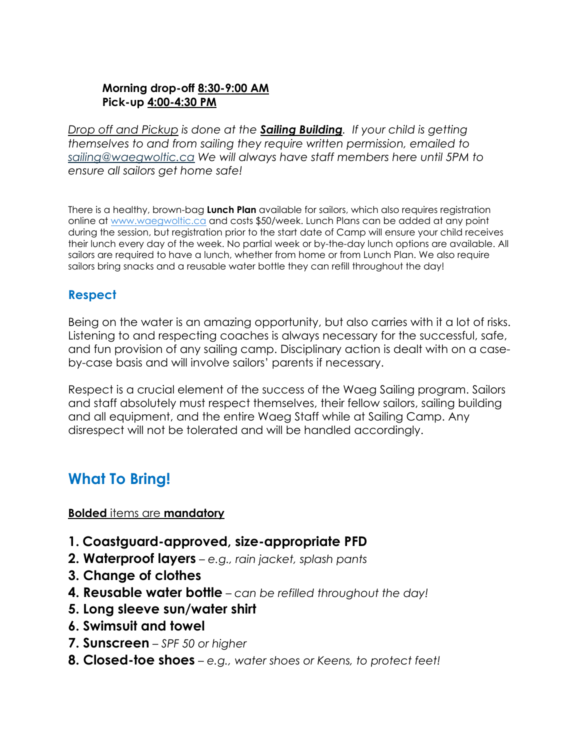#### **Morning drop-off 8:30-9:00 AM Pick-up 4:00-4:30 PM**

*Drop off and Pickup is done at the Sailing Building. If your child is getting themselves to and from sailing they require written permission, emailed to [sailing@waegwoltic.ca](mailto:sailing@waegwoltic.ca) We will always have staff members here until 5PM to ensure all sailors get home safe!* 

There is a healthy, brown-bag **Lunch Plan** available for sailors, which also requires registration online at [www.waegwoltic.ca](http://www.waegwoltic.ca/) and costs \$50/week. Lunch Plans can be added at any point during the session, but registration prior to the start date of Camp will ensure your child receives their lunch every day of the week. No partial week or by-the-day lunch options are available. All sailors are required to have a lunch, whether from home or from Lunch Plan. We also require sailors bring snacks and a reusable water bottle they can refill throughout the day!

### **Respect**

Being on the water is an amazing opportunity, but also carries with it a lot of risks. Listening to and respecting coaches is always necessary for the successful, safe, and fun provision of any sailing camp. Disciplinary action is dealt with on a caseby-case basis and will involve sailors' parents if necessary.

Respect is a crucial element of the success of the Waeg Sailing program. Sailors and staff absolutely must respect themselves, their fellow sailors, sailing building and all equipment, and the entire Waeg Staff while at Sailing Camp. Any disrespect will not be tolerated and will be handled accordingly.

# **What To Bring!**

**Bolded** items are **mandatory** 

- **1. Coastguard-approved, size-appropriate PFD**
- **2. Waterproof layers** *e.g., rain jacket, splash pants*
- **3. Change of clothes**
- **4. Reusable water bottle** *can be refilled throughout the day!*
- **5. Long sleeve sun/water shirt**
- **6. Swimsuit and towel**
- **7. Sunscreen** *SPF 50 or higher*
- **8. Closed-toe shoes** *e.g., water shoes or Keens, to protect feet!*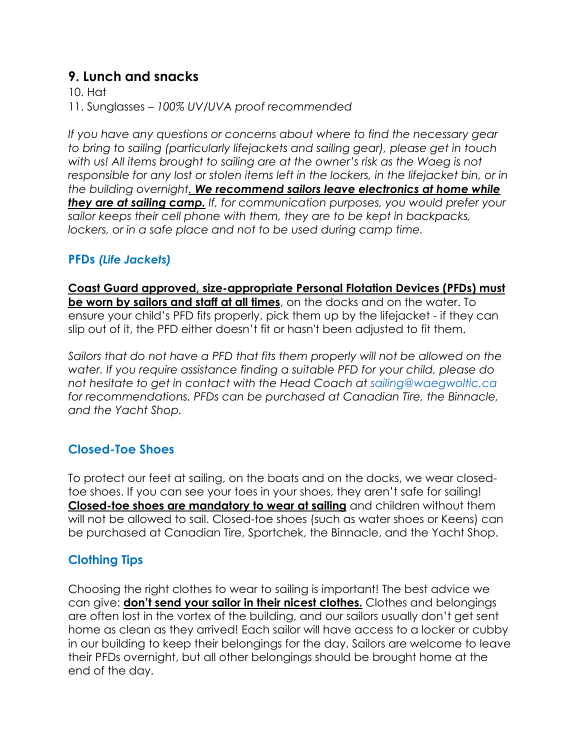### **9. Lunch and snacks**

10. Hat

11. Sunglasses – *100% UV/UVA proof recommended*

*If you have any questions or concerns about where to find the necessary gear to bring to sailing (particularly lifejackets and sailing gear), please get in touch with us! All items brought to sailing are at the owner's risk as the Waeg is not responsible for any lost or stolen items left in the lockers, in the lifejacket bin, or in the building overnight. We recommend sailors leave electronics at home while they are at sailing camp. If, for communication purposes, you would prefer your sailor keeps their cell phone with them, they are to be kept in backpacks,*  lockers, or in a safe place and not to be used during camp time.

### **PFDs** *(Life Jackets)*

**Coast Guard approved, size-appropriate Personal Flotation Devices (PFDs) must be worn by sailors and staff at all times**, on the docks and on the water. To ensure your child's PFD fits properly, pick them up by the lifejacket - if they can slip out of it, the PFD either doesn't fit or hasn't been adjusted to fit them.

*Sailors that do not have a PFD that fits them properly will not be allowed on the water. If you require assistance finding a suitable PFD for your child, please do not hesitate to get in contact with the Head Coach at sailing@waegwoltic.ca for recommendations. PFDs can be purchased at Canadian Tire, the Binnacle, and the Yacht Shop.*

### **Closed-Toe Shoes**

To protect our feet at sailing, on the boats and on the docks, we wear closedtoe shoes. If you can see your toes in your shoes, they aren't safe for sailing! **Closed-toe shoes are mandatory to wear at sailing** and children without them will not be allowed to sail. Closed-toe shoes (such as water shoes or Keens) can be purchased at Canadian Tire, Sportchek, the Binnacle, and the Yacht Shop.

### **Clothing Tips**

Choosing the right clothes to wear to sailing is important! The best advice we can give: **don't send your sailor in their nicest clothes.** Clothes and belongings are often lost in the vortex of the building, and our sailors usually don't get sent home as clean as they arrived! Each sailor will have access to a locker or cubby in our building to keep their belongings for the day. Sailors are welcome to leave their PFDs overnight, but all other belongings should be brought home at the end of the day.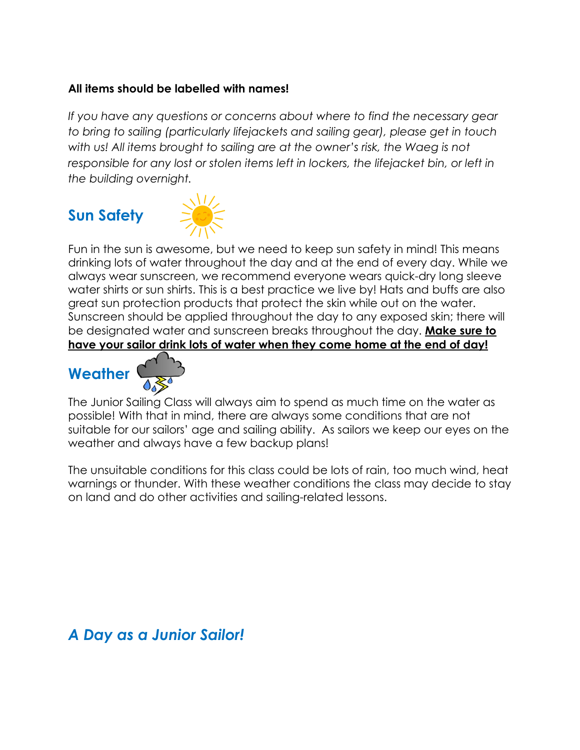#### **All items should be labelled with names!**

*If you have any questions or concerns about where to find the necessary gear to bring to sailing (particularly lifejackets and sailing gear), please get in touch*  with us! All items brought to sailing are at the owner's risk, the Waeg is not responsible for any lost or stolen items left in lockers, the lifejacket bin, or left in *the building overnight.*

# **Sun Safety**



Fun in the sun is awesome, but we need to keep sun safety in mind! This means drinking lots of water throughout the day and at the end of every day. While we always wear sunscreen, we recommend everyone wears quick-dry long sleeve water shirts or sun shirts. This is a best practice we live by! Hats and buffs are also great sun protection products that protect the skin while out on the water. Sunscreen should be applied throughout the day to any exposed skin; there will be designated water and sunscreen breaks throughout the day. **Make sure to have your sailor drink lots of water when they come home at the end of day!**





The Junior Sailing Class will always aim to spend as much time on the water as possible! With that in mind, there are always some conditions that are not suitable for our sailors' age and sailing ability. As sailors we keep our eyes on the weather and always have a few backup plans!

The unsuitable conditions for this class could be lots of rain, too much wind, heat warnings or thunder. With these weather conditions the class may decide to stay on land and do other activities and sailing-related lessons.

## *A Day as a Junior Sailor!*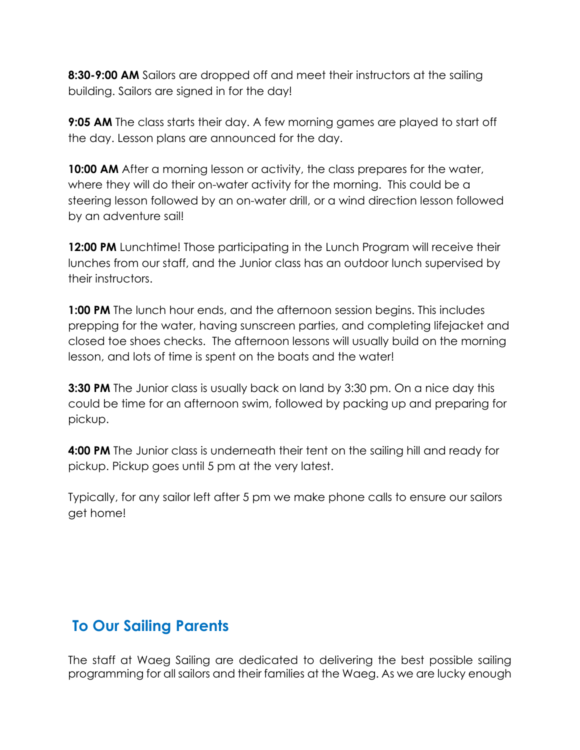**8:30-9:00 AM** Sailors are dropped off and meet their instructors at the sailing building. Sailors are signed in for the day!

**9:05 AM** The class starts their day. A few morning games are played to start off the day. Lesson plans are announced for the day.

**10:00 AM** After a morning lesson or activity, the class prepares for the water, where they will do their on-water activity for the morning. This could be a steering lesson followed by an on-water drill, or a wind direction lesson followed by an adventure sail!

**12:00 PM** Lunchtime! Those participating in the Lunch Program will receive their lunches from our staff, and the Junior class has an outdoor lunch supervised by their instructors.

**1:00 PM** The lunch hour ends, and the afternoon session begins. This includes prepping for the water, having sunscreen parties, and completing lifejacket and closed toe shoes checks. The afternoon lessons will usually build on the morning lesson, and lots of time is spent on the boats and the water!

**3:30 PM** The Junior class is usually back on land by 3:30 pm. On a nice day this could be time for an afternoon swim, followed by packing up and preparing for pickup.

**4:00 PM** The Junior class is underneath their tent on the sailing hill and ready for pickup. Pickup goes until 5 pm at the very latest.

Typically, for any sailor left after 5 pm we make phone calls to ensure our sailors get home!

# **To Our Sailing Parents**

The staff at Waeg Sailing are dedicated to delivering the best possible sailing programming for all sailors and their families at the Waeg. As we are lucky enough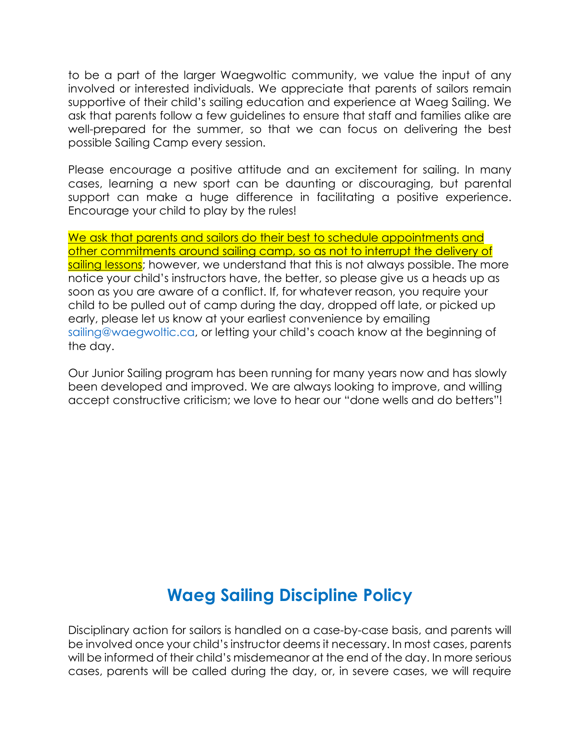to be a part of the larger Waegwoltic community, we value the input of any involved or interested individuals. We appreciate that parents of sailors remain supportive of their child's sailing education and experience at Waeg Sailing. We ask that parents follow a few guidelines to ensure that staff and families alike are well-prepared for the summer, so that we can focus on delivering the best possible Sailing Camp every session.

Please encourage a positive attitude and an excitement for sailing. In many cases, learning a new sport can be daunting or discouraging, but parental support can make a huge difference in facilitating a positive experience. Encourage your child to play by the rules!

We ask that parents and sailors do their best to schedule appointments and other commitments around sailing camp, so as not to interrupt the delivery of sailing lessons; however, we understand that this is not always possible. The more notice your child's instructors have, the better, so please give us a heads up as soon as you are aware of a conflict. If, for whatever reason, you require your child to be pulled out of camp during the day, dropped off late, or picked up early, please let us know at your earliest convenience by emailing sailing@waegwoltic.ca, or letting your child's coach know at the beginning of the day.

Our Junior Sailing program has been running for many years now and has slowly been developed and improved. We are always looking to improve, and willing accept constructive criticism; we love to hear our "done wells and do betters"!

# **Waeg Sailing Discipline Policy**

Disciplinary action for sailors is handled on a case-by-case basis, and parents will be involved once your child's instructor deems it necessary. In most cases, parents will be informed of their child's misdemeanor at the end of the day. In more serious cases, parents will be called during the day, or, in severe cases, we will require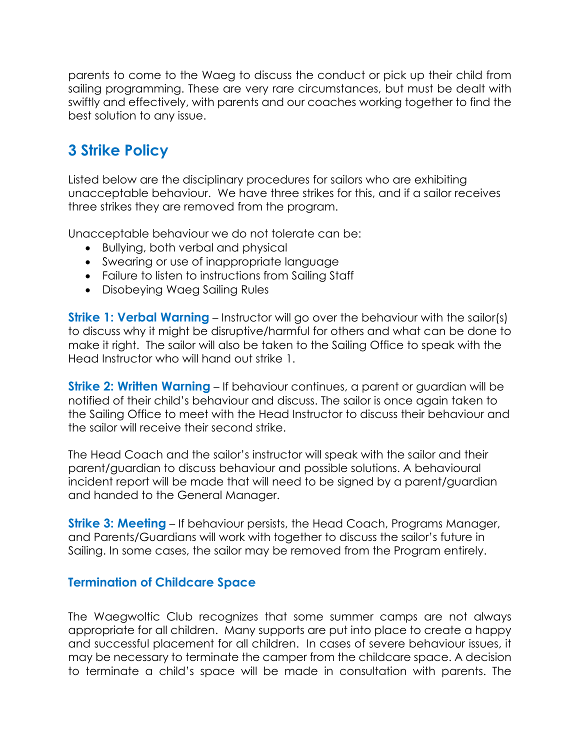parents to come to the Waeg to discuss the conduct or pick up their child from sailing programming. These are very rare circumstances, but must be dealt with swiftly and effectively, with parents and our coaches working together to find the best solution to any issue.

# **3 Strike Policy**

Listed below are the disciplinary procedures for sailors who are exhibiting unacceptable behaviour. We have three strikes for this, and if a sailor receives three strikes they are removed from the program.

Unacceptable behaviour we do not tolerate can be:

- Bullying, both verbal and physical
- Swearing or use of inappropriate language
- Failure to listen to instructions from Sailing Staff
- Disobeying Waeg Sailing Rules

**Strike 1: Verbal Warning** – Instructor will go over the behaviour with the sailor(s) to discuss why it might be disruptive/harmful for others and what can be done to make it right. The sailor will also be taken to the Sailing Office to speak with the Head Instructor who will hand out strike 1.

**Strike 2: Written Warning** – If behaviour continues, a parent or guardian will be notified of their child's behaviour and discuss. The sailor is once again taken to the Sailing Office to meet with the Head Instructor to discuss their behaviour and the sailor will receive their second strike.

The Head Coach and the sailor's instructor will speak with the sailor and their parent/guardian to discuss behaviour and possible solutions. A behavioural incident report will be made that will need to be signed by a parent/guardian and handed to the General Manager.

**Strike 3: Meeting** – If behaviour persists, the Head Coach, Programs Manager, and Parents/Guardians will work with together to discuss the sailor's future in Sailing. In some cases, the sailor may be removed from the Program entirely.

#### **Termination of Childcare Space**

The Waegwoltic Club recognizes that some summer camps are not always appropriate for all children. Many supports are put into place to create a happy and successful placement for all children. In cases of severe behaviour issues, it may be necessary to terminate the camper from the childcare space. A decision to terminate a child's space will be made in consultation with parents. The